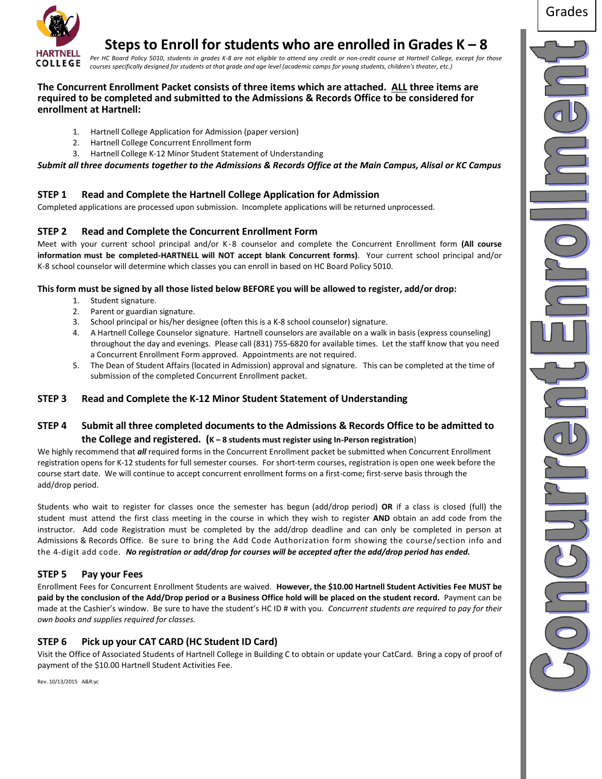

# **Steps to Enroll for students who are enrolled in Grades K – 8**

Per HC Board Policy 5010, students in grades K-8 are not eligible to attend any credit or non-credit course at Hartnell College, except for those *courses specifically designed for students at that grade and age level (academic camps for young students, children's theater, etc.)*

#### **The Concurrent Enrollment Packet consists of three items which are attached. ALL three items are required to be completed and submitted to the Admissions & Records Office to be considered for enrollment at Hartnell:**

- 1. Hartnell College Application for Admission (paper version)
- 2. Hartnell College Concurrent Enrollment form
- 3. Hartnell College K-12 Minor Student Statement of Understanding

*Submit all three documents together to the Admissions & Records Office at the Main Campus, Alisal or KC Campus*

# **STEP 1 Read and Complete the Hartnell College Application for Admission**

Completed applications are processed upon submission. Incomplete applications will be returned unprocessed.

# **STEP 2 Read and Complete the Concurrent Enrollment Form**

Meet with your current school principal and/or K-8 counselor and complete the Concurrent Enrollment form **(All course information must be completed-HARTNELL will NOT accept blank Concurrent forms)**. Your current school principal and/or K-8 school counselor will determine which classes you can enroll in based on HC Board Policy 5010.

#### **This form must be signed by all those listed below BEFORE you will be allowed to register, add/or drop:**

- 1. Student signature.
- 2. Parent or guardian signature.
- 3. School principal or his/her designee (often this is a K-8 school counselor) signature.
- 4. A Hartnell College Counselor signature. Hartnell counselors are available on a walk in basis (express counseling) throughout the day and evenings. Please call (831) 755-6820 for available times. Let the staff know that you need a Concurrent Enrollment Form approved. Appointments are not required.
- 5. The Dean of Student Affairs (located in Admission) approval and signature. This can be completed at the time of submission of the completed Concurrent Enrollment packet.

# **STEP 3 Read and Complete the K-12 Minor Student Statement of Understanding**

# **STEP 4 Submit all three completed documents to the Admissions & Records Office to be admitted to the College and registered. (K – 8 students must register using In-Person registration**)

We highly recommend that *all* required forms in the Concurrent Enrollment packet be submitted when Concurrent Enrollment registration opens for K-12 students for full semester courses. For short-term courses, registration is open one week before the course start date. We will continue to accept concurrent enrollment forms on a first-come; first-serve basis through the add/drop period.

Students who wait to register for classes once the semester has begun (add/drop period) **OR** if a class is closed (full) the student must attend the first class meeting in the course in which they wish to register **AND** obtain an add code from the instructor. Add code Registration must be completed by the add/drop deadline and can only be completed in person at Admissions & Records Office. Be sure to bring the Add Code Authorization form showing the course/section info and the 4-digit add code. *No registration or add/drop for courses will be accepted after the add/drop period has ended.*

# **STEP 5 Pay your Fees**

Enrollment Fees for Concurrent Enrollment Students are waived. **However, the \$10.00 Hartnell Student Activities Fee MUST be paid by the conclusion of the Add/Drop period or a Business Office hold will be placed on the student record.** Payment can be made at the Cashier's window. Be sure to have the student's HC ID # with you. *Concurrent students are required to pay for their own books and supplies required for classes.*

# **STEP 6 Pick up your CAT CARD (HC Student ID Card)**

Visit the Office of Associated Students of Hartnell College in Building C to obtain or update your CatCard. Bring a copy of proof of payment of the \$10.00 Hartnell Student Activities Fee.

Rev. 10/13/2015 A&R:yc

Grades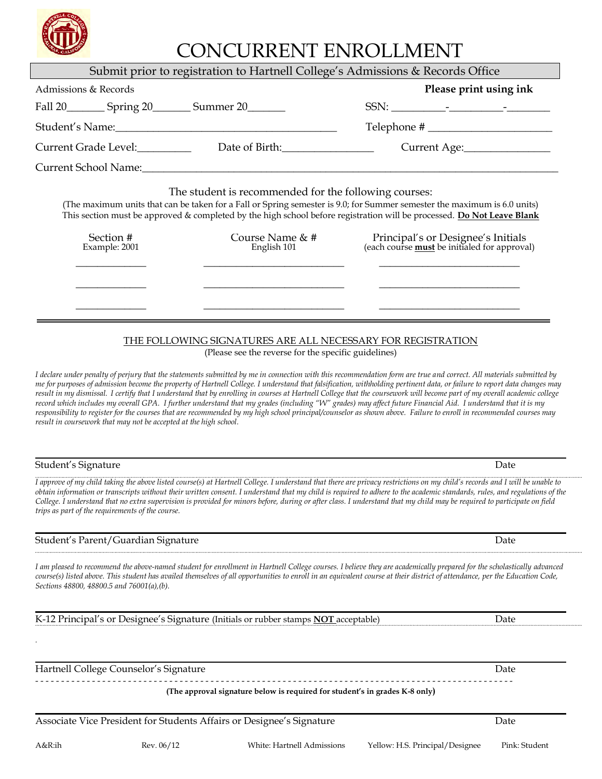*.* 

A&R:ih Rev. 06/12 White: Hartnell Admissions Yellow: H.S. Principal/Designee Pink: Student

# $\overline{\rm M}$ CI IDDENIT ENID $\overline{\rm O}$ I I MENIT

| CONCONNENT ENNOLLIVIENT |                                                                                                                                                                                                                                                                                                                                                 |
|-------------------------|-------------------------------------------------------------------------------------------------------------------------------------------------------------------------------------------------------------------------------------------------------------------------------------------------------------------------------------------------|
|                         | Submit prior to registration to Hartnell College's Admissions & Records Office                                                                                                                                                                                                                                                                  |
|                         | Please print using ink                                                                                                                                                                                                                                                                                                                          |
|                         |                                                                                                                                                                                                                                                                                                                                                 |
|                         | $\text{Telephone} \# \_$                                                                                                                                                                                                                                                                                                                        |
|                         | Current Age:                                                                                                                                                                                                                                                                                                                                    |
|                         |                                                                                                                                                                                                                                                                                                                                                 |
|                         | (The maximum units that can be taken for a Fall or Spring semester is 9.0; for Summer semester the maximum is 6.0 units)<br>This section must be approved & completed by the high school before registration will be processed. Do Not Leave Blank<br>Principal's or Designee's Initials<br>(each course <b>must</b> be initialed for approval) |
|                         | Fall 20 __________ Spring 20 _________ Summer 20 ________<br>Current Grade Level:<br>Date of Birth:<br>The student is recommended for the following courses:<br>Course Name & #<br>English 101                                                                                                                                                  |

# THE FOLLOWING SIGNATURES ARE ALL NECESSARY FOR REGISTRATION

(Please see the reverse for the specific guidelines)

*I declare under penalty of perjury that the statements submitted by me in connection with this recommendation form are true and correct. All materials submitted by me for purposes of admission become the property of Hartnell College. I understand that falsification, withholding pertinent data, or failure to report data changes may*  result in my dismissal. I certify that I understand that by enrolling in courses at Hartnell College that the coursework will become part of my overall academic college *record which includes my overall GPA. I further understand that my grades (including "W" grades) may affect future Financial Aid. I understand that it is my responsibility to register for the courses that are recommended by my high school principal/counselor as shown above. Failure to enroll in recommended courses may result in coursework that may not be accepted at the high school.*

| Student's Signature | Date |
|---------------------|------|
|                     |      |

*I approve of my child taking the above listed course(s) at Hartnell College. I understand that there are privacy restrictions on my child's records and I will be unable to obtain information or transcripts without their written consent. I understand that my child is required to adhere to the academic standards, rules, and regulations of the College. I understand that no extra supervision is provided for minors before, during or after class. I understand that my child may be required to participate on field trips as part of the requirements of the course.*

#### Student's Parent/Guardian Signature Date Date of the Student's Parent Date Date Date

*I am pleased to recommend the above-named student for enrollment in Hartnell College courses. I believe they are academically prepared for the scholastically advanced course(s) listed above. This student has availed themselves of all opportunities to enroll in an equivalent course at their district of attendance, per the Education Code, Sections 48800, 48800.5 and 76001(a),(b).* 

K-12 Principal's or Designee's Signature (Initials or rubber stamps **NOT** acceptable) Date

Hartnell College Counselor's Signature **Date** Date of College Counselor's Signature Date

- - - - - - - - - - - - - - - - - - - - - - - - - - - - - - - - - - - - - - - - - - - - - - - - - - - - - - - - - - - - - - - - - - - - - - - - - - - - - - - - - - - - - - - - - - - - - **(The approval signature below is required for student's in grades K-8 only)**

Associate Vice President for Students Affairs or Designee's Signature **Department Constructs** Date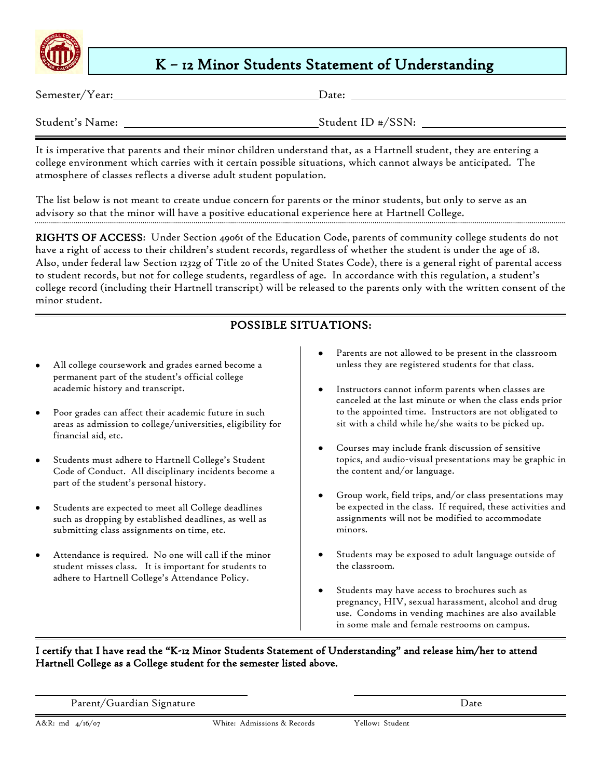

# K – 12 Minor Students Statement of Understanding

Semester/Year: Date:

| Student's Name: |
|-----------------|
|-----------------|

Student ID #/SSN:

It is imperative that parents and their minor children understand that, as a Hartnell student, they are entering a college environment which carries with it certain possible situations, which cannot always be anticipated. The atmosphere of classes reflects a diverse adult student population.

The list below is not meant to create undue concern for parents or the minor students, but only to serve as an advisory so that the minor will have a positive educational experience here at Hartnell College.

RIGHTS OF ACCESS: Under Section 49061 of the Education Code, parents of community college students do not have a right of access to their children's student records, regardless of whether the student is under the age of 18. Also, under federal law Section 1232g of Title 20 of the United States Code), there is a general right of parental access to student records, but not for college students, regardless of age. In accordance with this regulation, a student's college record (including their Hartnell transcript) will be released to the parents only with the written consent of the minor student.

# $\overline{a}$ POSSIBLE SITUATIONS:

- All college coursework and grades earned become a permanent part of the student's official college academic history and transcript.
- Poor grades can affect their academic future in such areas as admission to college/universities, eligibility for financial aid, etc.
- Students must adhere to Hartnell College's Student Code of Conduct. All disciplinary incidents become a part of the student's personal history.
- Students are expected to meet all College deadlines such as dropping by established deadlines, as well as submitting class assignments on time, etc.
- Attendance is required. No one will call if the minor student misses class. It is important for students to adhere to Hartnell College's Attendance Policy.
- Parents are not allowed to be present in the classroom unless they are registered students for that class.
- Instructors cannot inform parents when classes are canceled at the last minute or when the class ends prior to the appointed time. Instructors are not obligated to sit with a child while he/she waits to be picked up.
- Courses may include frank discussion of sensitive topics, and audio-visual presentations may be graphic in the content and/or language.
- Group work, field trips, and/or class presentations may be expected in the class. If required, these activities and assignments will not be modified to accommodate minors.
- Students may be exposed to adult language outside of the classroom.
- Students may have access to brochures such as pregnancy, HIV, sexual harassment, alcohol and drug use. Condoms in vending machines are also available in some male and female restrooms on campus.

# I certify that I have read the "K-12 Minor Students Statement of Understanding" and release him/her to attend Hartnell College as a College student for the semester listed above.

Parent/Guardian Signature Date

 $\overline{a}$